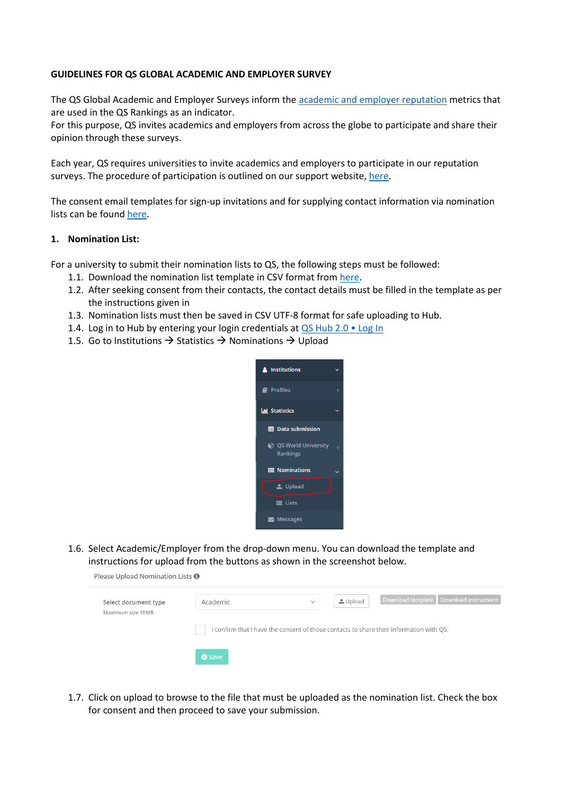#### **GUIDELINES FOR QS GLOBAL ACADEMIC AND EMPLOYER SURVEY**

The QS Global Academic and Employer Surveys inform th[e academic and employer reputation](https://support.qs.com/hc/en-gb/articles/4405952675346) metrics that are used in the QS Rankings as an indicator.

For this purpose, QS invites academics and employers from across the globe to participate and share their opinion through these surveys.

Each year, QS requires universities to invite academics and employers to participate in our reputation surveys. The procedure of participation is outlined on our support website, [here.](https://support.qs.com/hc/en-gb/articles/360021859279-Survey-Nominations-Procedure)

The consent email templates for sign-up invitations and for supplying contact information via nomination lists can be foun[d here.](https://support.qs.com/hc/en-gb/articles/360021836760-Consent-emails)

#### **1. Nomination List:**

For a university to submit their nomination lists to QS, the following steps must be followed:

- 1.1. Download the nomination list template in CSV format from [here.](https://support.qs.com/hc/en-gb/articles/360021858859-Academic-Employer-Nominations-Template)
- 1.2. After seeking consent from their contacts, the contact details must be filled in the template as per the instructions given in
- 1.3. Nomination lists must then be saved in CSV UTF-8 format for safe uploading to Hub.
- 1.4. Log in to Hub by entering your login credentials at [QS Hub 2.0 Log In](https://qs-hub2.qs.com/wp-login.php)
- 1.5. Go to Institutions  $\rightarrow$  Statistics  $\rightarrow$  Nominations  $\rightarrow$  Upload



1.6. Select Academic/Employer from the drop-down menu. You can download the template and instructions for upload from the buttons as shown in the screenshot below.

|  | Please Upload Nomination Lists <sup>0</sup> |  |
|--|---------------------------------------------|--|
|  |                                             |  |

| Select document type<br>Maximum size 10MB | Academic                                                                              | $\checkmark$ | $\triangle$ Upload | Download template Download instructions |  |
|-------------------------------------------|---------------------------------------------------------------------------------------|--------------|--------------------|-----------------------------------------|--|
|                                           | confirm that I have the consent of those contacts to share their information with QS. |              |                    |                                         |  |
|                                           | Save                                                                                  |              |                    |                                         |  |

1.7. Click on upload to browse to the file that must be uploaded as the nomination list. Check the box for consent and then proceed to save your submission.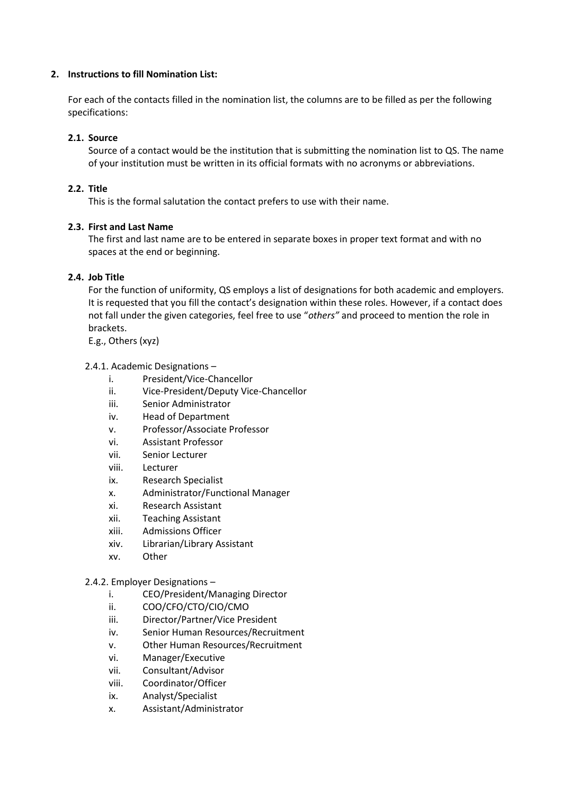# **2. Instructions to fill Nomination List:**

For each of the contacts filled in the nomination list, the columns are to be filled as per the following specifications:

# **2.1. Source**

Source of a contact would be the institution that is submitting the nomination list to QS. The name of your institution must be written in its official formats with no acronyms or abbreviations.

## **2.2. Title**

This is the formal salutation the contact prefers to use with their name.

#### **2.3. First and Last Name**

The first and last name are to be entered in separate boxes in proper text format and with no spaces at the end or beginning.

## **2.4. Job Title**

For the function of uniformity, QS employs a list of designations for both academic and employers. It is requested that you fill the contact's designation within these roles. However, if a contact does not fall under the given categories, feel free to use "*others"* and proceed to mention the role in brackets.

E.g., Others (xyz)

#### 2.4.1. Academic Designations –

- i. President/Vice-Chancellor
- ii. Vice-President/Deputy Vice-Chancellor
- iii. Senior Administrator
- iv. Head of Department
- v. Professor/Associate Professor
- vi. Assistant Professor
- vii. Senior Lecturer
- viii. Lecturer
- ix. Research Specialist
- x. Administrator/Functional Manager
- xi. Research Assistant
- xii. Teaching Assistant
- xiii. Admissions Officer
- xiv. Librarian/Library Assistant
- xv. Other

#### 2.4.2. Employer Designations –

- i. CEO/President/Managing Director
- ii. COO/CFO/CTO/CIO/CMO
- iii. Director/Partner/Vice President
- iv. Senior Human Resources/Recruitment
- v. Other Human Resources/Recruitment
- vi. Manager/Executive
- vii. Consultant/Advisor
- viii. Coordinator/Officer
- ix. Analyst/Specialist
- x. Assistant/Administrator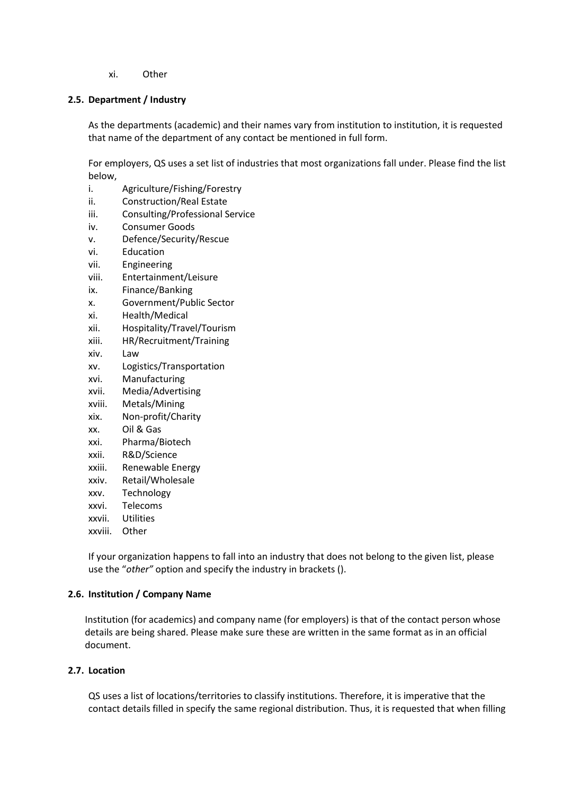xi. Other

### **2.5. Department / Industry**

As the departments (academic) and their names vary from institution to institution, it is requested that name of the department of any contact be mentioned in full form.

For employers, QS uses a set list of industries that most organizations fall under. Please find the list below,

- i. Agriculture/Fishing/Forestry
- ii. Construction/Real Estate
- iii. Consulting/Professional Service
- iv. Consumer Goods
- v. Defence/Security/Rescue
- vi. Education
- vii. Engineering
- viii. Entertainment/Leisure
- ix. Finance/Banking
- x. Government/Public Sector
- xi. Health/Medical
- xii. Hospitality/Travel/Tourism
- xiii. HR/Recruitment/Training
- xiv. Law
- xv. Logistics/Transportation
- xvi. Manufacturing
- xvii. Media/Advertising
- xviii. Metals/Mining
- xix. Non-profit/Charity
- xx. Oil & Gas
- xxi. Pharma/Biotech
- xxii. R&D/Science
- xxiii. Renewable Energy
- xxiv. Retail/Wholesale
- xxv. Technology
- xxvi. Telecoms
- xxvii. Utilities
- xxviii. Other

If your organization happens to fall into an industry that does not belong to the given list, please use the "*other"* option and specify the industry in brackets ().

#### **2.6. Institution / Company Name**

Institution (for academics) and company name (for employers) is that of the contact person whose details are being shared. Please make sure these are written in the same format as in an official document.

#### **2.7. Location**

QS uses a list of locations/territories to classify institutions. Therefore, it is imperative that the contact details filled in specify the same regional distribution. Thus, it is requested that when filling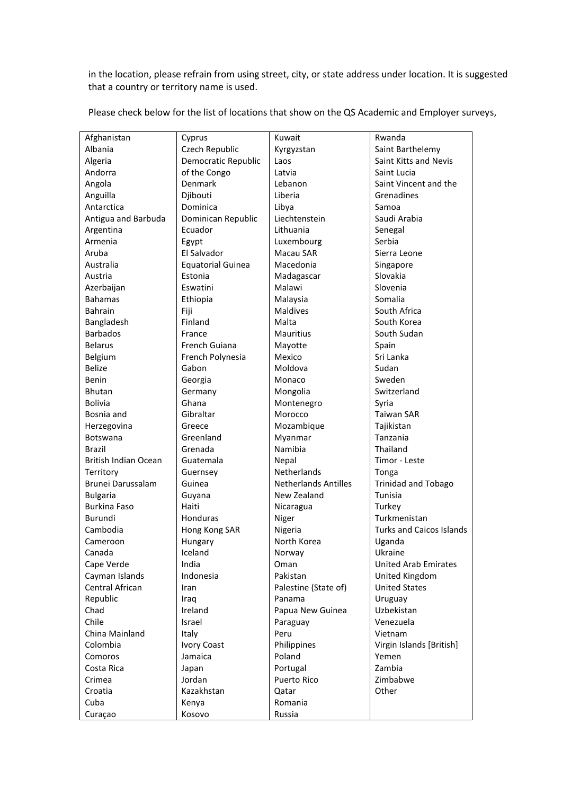in the location, please refrain from using street, city, or state address under location. It is suggested that a country or territory name is used.

| Afghanistan          | Cyprus                   | Kuwait                      | Rwanda                          |
|----------------------|--------------------------|-----------------------------|---------------------------------|
| Albania              | Czech Republic           | Kyrgyzstan                  | Saint Barthelemy                |
| Algeria              | Democratic Republic      | Laos                        | Saint Kitts and Nevis           |
| Andorra              | of the Congo             | Latvia                      | Saint Lucia                     |
| Angola               | <b>Denmark</b>           | Lebanon                     | Saint Vincent and the           |
| Anguilla             | Djibouti                 | Liberia                     | Grenadines                      |
| Antarctica           | Dominica                 | Libya                       | Samoa                           |
| Antigua and Barbuda  | Dominican Republic       | Liechtenstein               | Saudi Arabia                    |
| Argentina            | Ecuador                  | Lithuania                   | Senegal                         |
| Armenia              | Egypt                    | Luxembourg                  | Serbia                          |
| Aruba                | El Salvador              | Macau SAR                   | Sierra Leone                    |
| Australia            | <b>Equatorial Guinea</b> | Macedonia                   | Singapore                       |
| Austria              | Estonia                  | Madagascar                  | Slovakia                        |
| Azerbaijan           | Eswatini                 | Malawi                      | Slovenia                        |
| <b>Bahamas</b>       | Ethiopia                 | Malaysia                    | Somalia                         |
| <b>Bahrain</b>       | Fiji                     | <b>Maldives</b>             | South Africa                    |
| Bangladesh           | Finland                  | Malta                       | South Korea                     |
| <b>Barbados</b>      | France                   | <b>Mauritius</b>            | South Sudan                     |
| Belarus              | French Guiana            | Mayotte                     | Spain                           |
| Belgium              | French Polynesia         | Mexico                      | Sri Lanka                       |
| <b>Belize</b>        | Gabon                    | Moldova                     | Sudan                           |
| Benin                | Georgia                  | Monaco                      | Sweden                          |
| Bhutan               | Germany                  | Mongolia                    | Switzerland                     |
| <b>Bolivia</b>       | Ghana                    | Montenegro                  | Syria                           |
| Bosnia and           | Gibraltar                | Morocco                     | <b>Taiwan SAR</b>               |
| Herzegovina          | Greece                   | Mozambique                  | Tajikistan                      |
| Botswana             | Greenland                | Myanmar                     | Tanzania                        |
| Brazil               | Grenada                  | Namibia                     | Thailand                        |
| British Indian Ocean | Guatemala                | Nepal                       | Timor - Leste                   |
| Territory            | Guernsey                 | Netherlands                 | Tonga                           |
| Brunei Darussalam    | Guinea                   | <b>Netherlands Antilles</b> | <b>Trinidad and Tobago</b>      |
| <b>Bulgaria</b>      | Guyana                   | New Zealand                 | Tunisia                         |
| <b>Burkina Faso</b>  | Haiti                    | Nicaragua                   | Turkey                          |
| Burundi              | Honduras                 | Niger                       | Turkmenistan                    |
| Cambodia             | Hong Kong SAR            | Nigeria                     | <b>Turks and Caicos Islands</b> |
| Cameroon             | Hungary                  | North Korea                 | Uganda                          |
| Canada               | Iceland                  | Norway                      | Ukraine                         |
| Cape Verde           | India                    | Oman                        | <b>United Arab Emirates</b>     |
| Cayman Islands       | Indonesia                | Pakistan                    | United Kingdom                  |
| Central African      | Iran                     | Palestine (State of)        | <b>United States</b>            |
| Republic             | Iraq                     | Panama                      | Uruguay                         |
| Chad                 | Ireland                  | Papua New Guinea            | Uzbekistan                      |
| Chile                | Israel                   | Paraguay                    | Venezuela                       |
| China Mainland       | Italy                    | Peru                        | Vietnam                         |
| Colombia             | <b>Ivory Coast</b>       | Philippines                 | Virgin Islands [British]        |
| Comoros              | Jamaica                  | Poland                      | Yemen                           |
| Costa Rica           | Japan                    | Portugal                    | Zambia                          |
| Crimea               | Jordan                   | Puerto Rico                 | Zimbabwe                        |
| Croatia              | Kazakhstan               | Qatar                       | Other                           |
| Cuba                 | Kenya                    | Romania                     |                                 |
| Curaçao              | Kosovo                   | Russia                      |                                 |

Please check below for the list of locations that show on the QS Academic and Employer surveys,